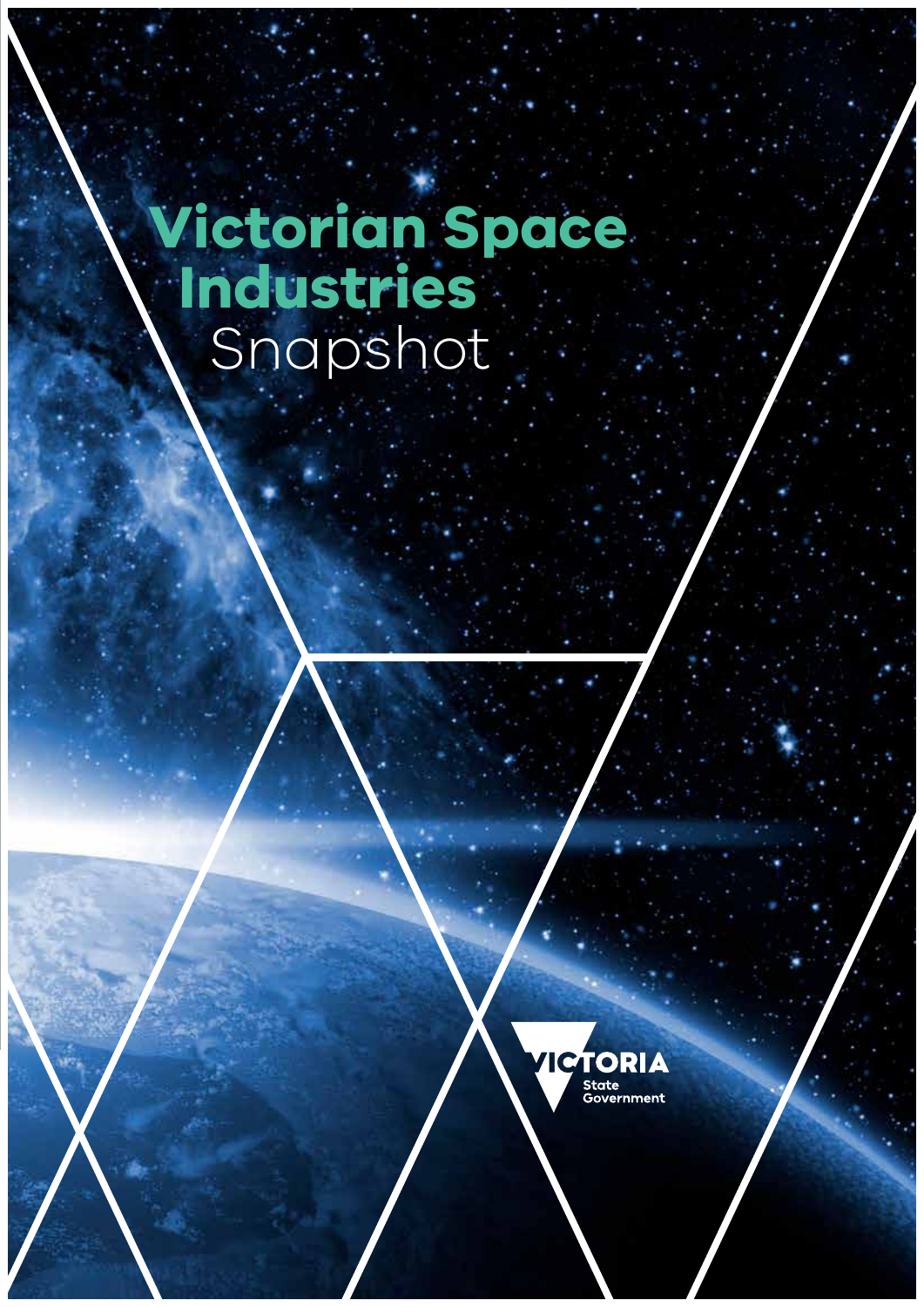# **Victorian Space Industries** Snapshot

**Victorian Space Industries** Snapshot

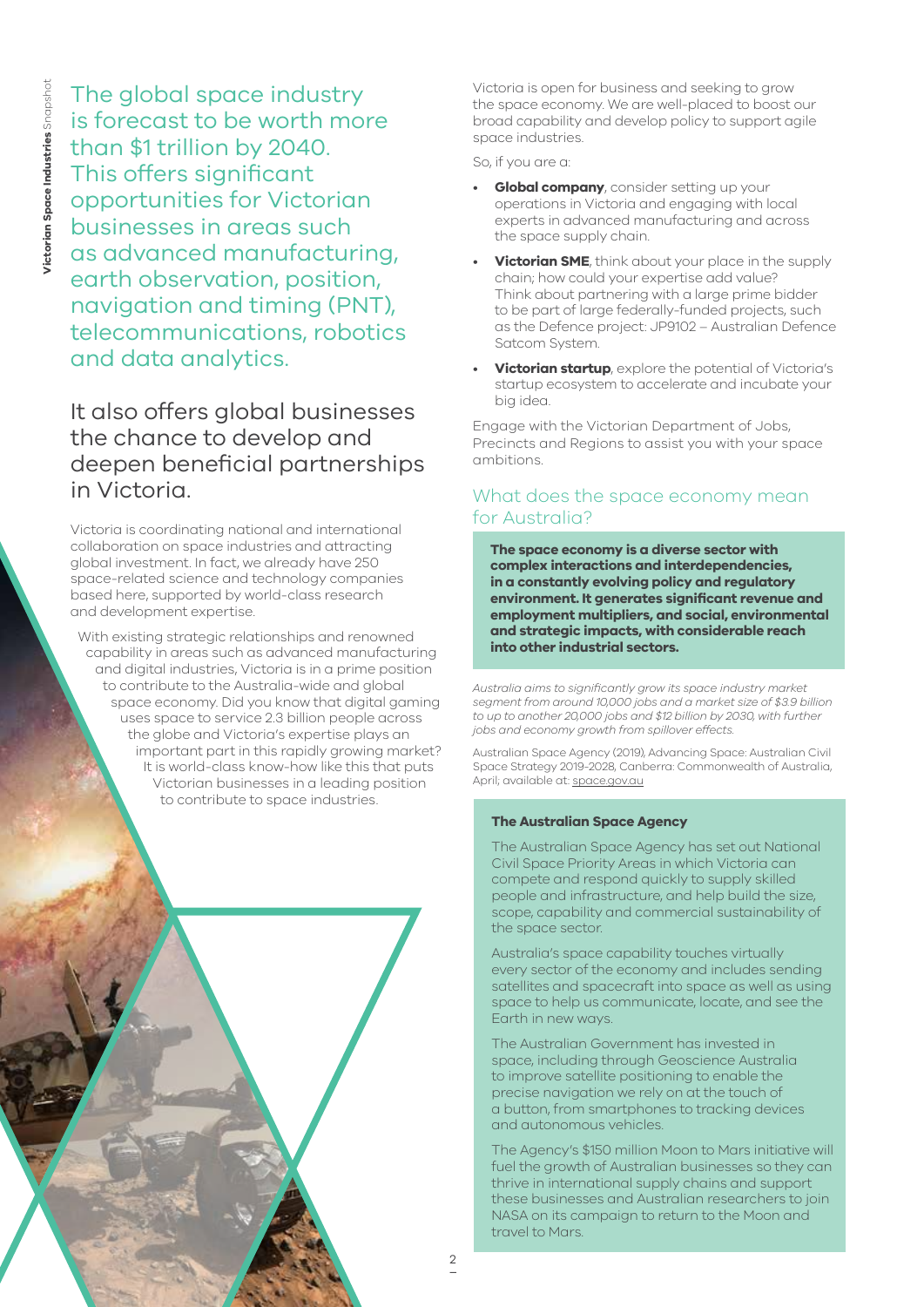The global space industry is forecast to be worth more than \$1 trillion by 2040. This offers significant opportunities for Victorian businesses in areas such as advanced manufacturing, earth observation, position, navigation and timing (PNT), telecommunications, robotics and data analytics.

# It also offers global businesses the chance to develop and deepen beneficial partnerships in Victoria.

Victoria is coordinating national and international collaboration on space industries and attracting global investment. In fact, we already have 250 space-related science and technology companies based here, supported by world-class research and development expertise.

With existing strategic relationships and renowned capability in areas such as advanced manufacturing and digital industries, Victoria is in a prime position to contribute to the Australia-wide and global space economy. Did you know that digital gaming uses space to service 2.3 billion people across the globe and Victoria's expertise plays an important part in this rapidly growing market? It is world-class know-how like this that puts Victorian businesses in a leading position to contribute to space industries.

Victoria is open for business and seeking to grow the space economy. We are well-placed to boost our broad capability and develop policy to support agile space industries.

So, if you are a:

- **Global company**, consider setting up your operations in Victoria and engaging with local experts in advanced manufacturing and across the space supply chain.
- **Victorian SME**, think about your place in the supply chain; how could your expertise add value? Think about partnering with a large prime bidder to be part of large federally-funded projects, such as the Defence project: JP9102 – Australian Defence Satcom System.
- **Victorian startup**, explore the potential of Victoria's startup ecosystem to accelerate and incubate your big idea.

Engage with the Victorian Department of Jobs, Precincts and Regions to assist you with your space ambitions.

### What does the space economy mean for Australia?

**The space economy is a diverse sector with complex interactions and interdependencies, in a constantly evolving policy and regulatory environment. It generates significant revenue and employment multipliers, and social, environmental and strategic impacts, with considerable reach into other industrial sectors.**

*Australia aims to significantly grow its space industry market segment from around 10,000 jobs and a market size of \$3.9 billion to up to another 20,000 jobs and \$12 billion by 2030, with further jobs and economy growth from spillover effects.* 

Australian Space Agency (2019), Advancing Space: Australian Civil Space Strategy 2019-2028, Canberra: Commonwealth of Australia, April; available at: [space.gov.au](https://www.space.gov.au)

#### **The Australian Space Agency**

The Australian Space Agency has set out National Civil Space Priority Areas in which Victoria can compete and respond quickly to supply skilled people and infrastructure, and help build the size, scope, capability and commercial sustainability of the space sector.

Australia's space capability touches virtually every sector of the economy and includes sending satellites and spacecraft into space as well as using space to help us communicate, locate, and see the Earth in new ways.

The Australian Government has invested in space, including through Geoscience Australia to improve satellite positioning to enable the precise navigation we rely on at the touch of a button, from smartphones to tracking devices and autonomous vehicles.

The Agency's \$150 million Moon to Mars initiative will fuel the growth of Australian businesses so they can thrive in international supply chains and support these businesses and Australian researchers to join NASA on its campaign to return to the Moon and travel to Mars.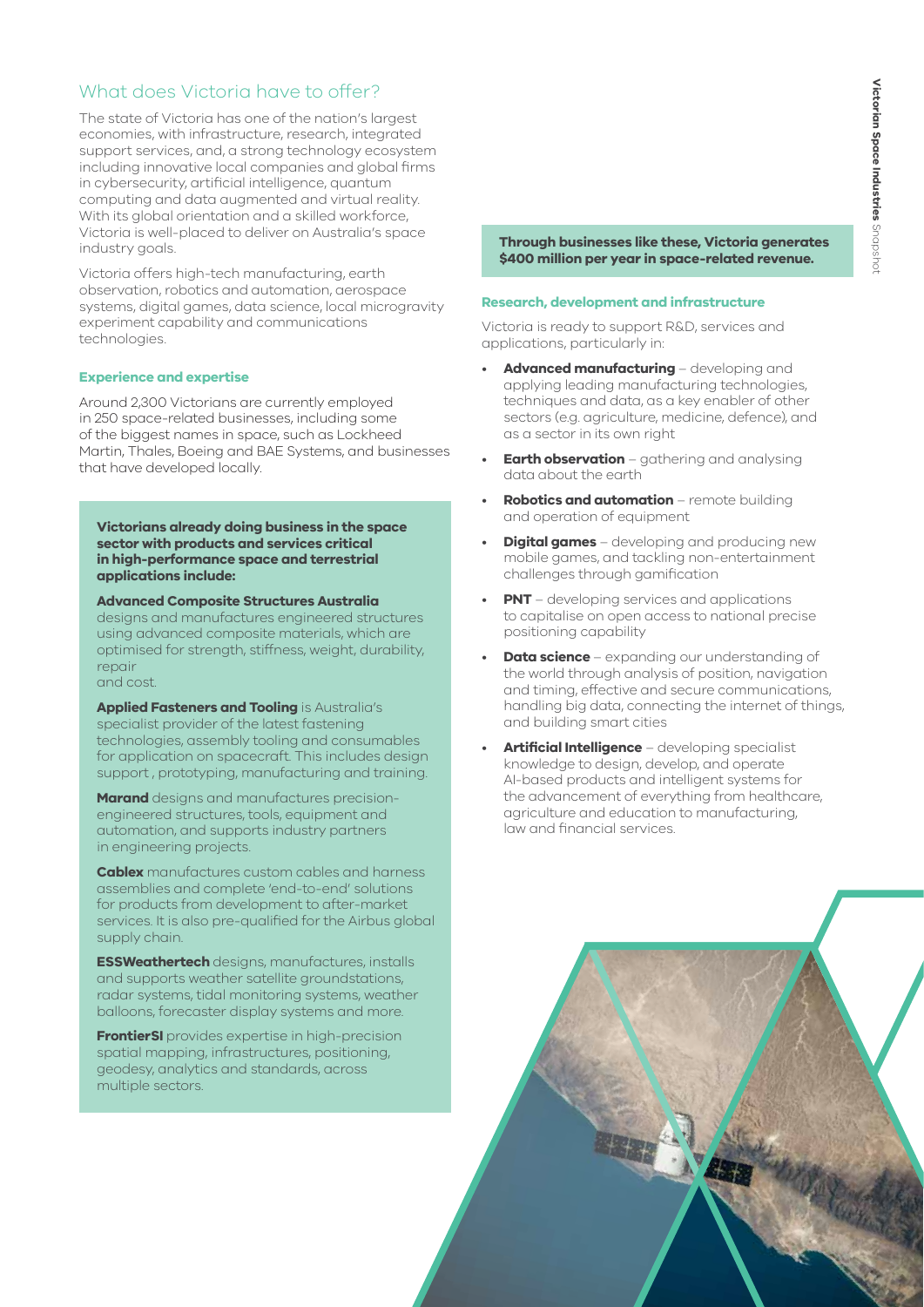## What does Victoria have to offer?

The state of Victoria has one of the nation's largest economies, with infrastructure, research, integrated support services, and, a strong technology ecosystem including innovative local companies and global firms in cybersecurity, artificial intelligence, quantum computing and data augmented and virtual reality. With its global orientation and a skilled workforce, Victoria is well-placed to deliver on Australia's space industry goals.

Victoria offers high-tech manufacturing, earth observation, robotics and automation, aerospace systems, digital games, data science, local microgravity experiment capability and communications technologies.

#### **Experience and expertise**

Around 2,300 Victorians are currently employed in 250 space-related businesses, including some of the biggest names in space, such as Lockheed Martin, Thales, Boeing and BAE Systems, and businesses that have developed locally.

**Victorians already doing business in the space sector with products and services critical in high-performance space and terrestrial applications include:**

**Advanced Composite Structures Australia**  designs and manufactures engineered structures using advanced composite materials, which are optimised for strength, stiffness, weight, durability, repair and cost.

**Applied Fasteners and Tooling** is Australia's specialist provider of the latest fastening technologies, assembly tooling and consumables for application on spacecraft. This includes design support , prototyping, manufacturing and training.

**Marand** designs and manufactures precisionengineered structures, tools, equipment and automation, and supports industry partners in engineering projects.

**Cablex** manufactures custom cables and harness assemblies and complete 'end-to-end' solutions for products from development to after-market services. It is also pre-qualified for the Airbus global supply chain.

**ESSWeathertech** designs, manufactures, installs and supports weather satellite groundstations, radar systems, tidal monitoring systems, weather balloons, forecaster display systems and more.

**FrontierSI** provides expertise in high-precision spatial mapping, infrastructures, positioning, geodesy, analytics and standards, across multiple sectors.

**Through businesses like these, Victoria generates \$400 million per year in space-related revenue.**

#### **Research, development and infrastructure**

Victoria is ready to support R&D, services and applications, particularly in:

- **Advanced manufacturing**  developing and applying leading manufacturing technologies, techniques and data, as a key enabler of other sectors (e.g. agriculture, medicine, defence), and as a sector in its own right
- **Earth observation** gathering and analysing data about the earth
- **Robotics and automation** remote building and operation of equipment
- **Digital games** developing and producing new mobile games, and tackling non-entertainment challenges through gamification
- **PNT** developing services and applications to capitalise on open access to national precise positioning capability
- **Data science** expanding our understanding of the world through analysis of position, navigation and timing, effective and secure communications, handling big data, connecting the internet of things, and building smart cities
- **Artificial Intelligence** developing specialist knowledge to design, develop, and operate AI-based products and intelligent systems for the advancement of everything from healthcare, agriculture and education to manufacturing, law and financial services.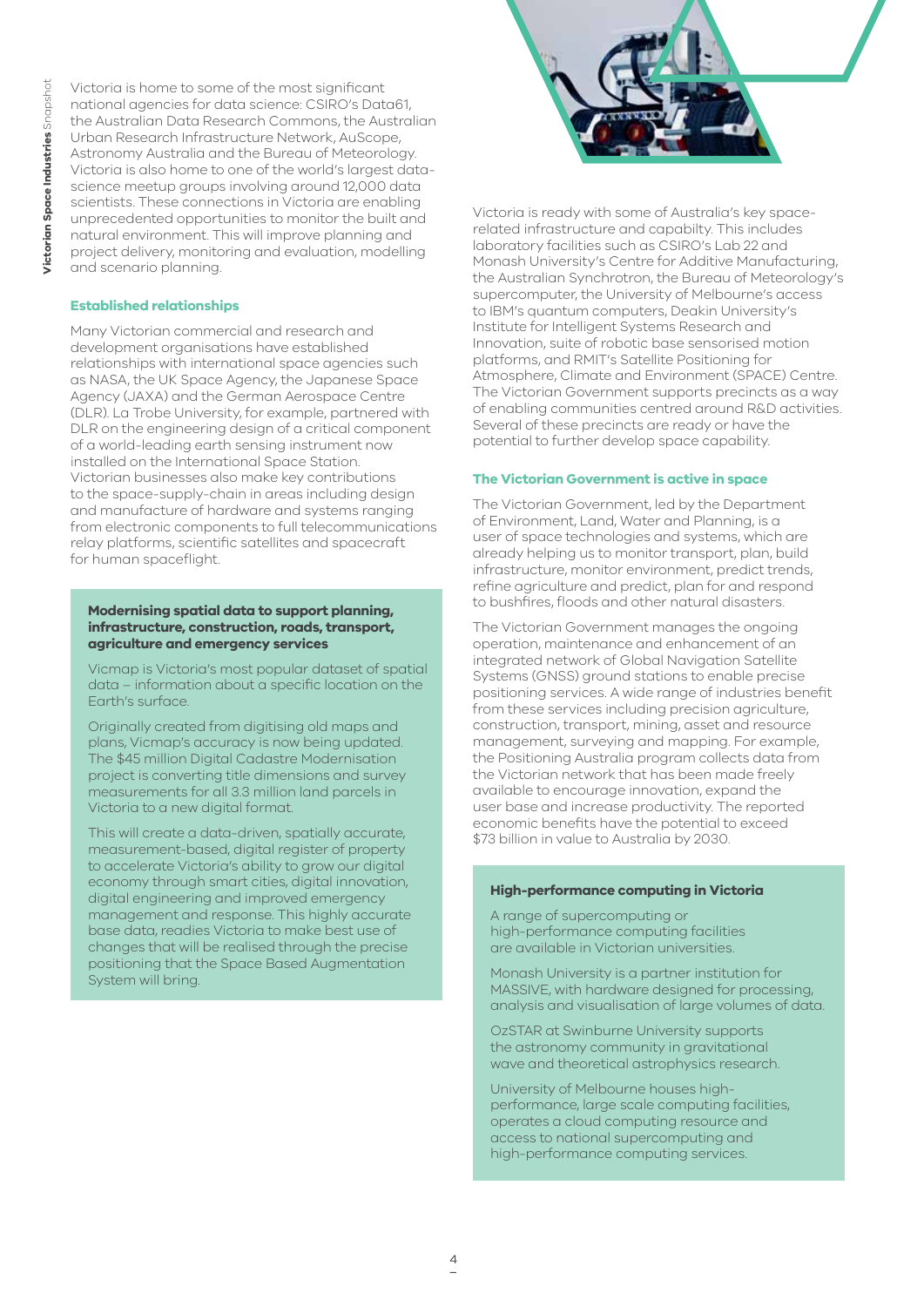Victoria is home to some of the most significant national agencies for data science: CSIRO's Data61, the Australian Data Research Commons, the Australian Urban Research Infrastructure Network, AuScope, Astronomy Australia and the Bureau of Meteorology. Victoria is also home to one of the world's largest datascience meetup groups involving around 12,000 data scientists. These connections in Victoria are enabling unprecedented opportunities to monitor the built and natural environment. This will improve planning and project delivery, monitoring and evaluation, modelling and scenario planning.

#### **Established relationships**

Many Victorian commercial and research and development organisations have established relationships with international space agencies such as NASA, the UK Space Agency, the Japanese Space Agency (JAXA) and the German Aerospace Centre (DLR). La Trobe University, for example, partnered with DLR on the engineering design of a critical component of a world-leading earth sensing instrument now installed on the International Space Station. Victorian businesses also make key contributions to the space-supply-chain in areas including design and manufacture of hardware and systems ranging from electronic components to full telecommunications relay platforms, scientific satellites and spacecraft for human spaceflight.

#### **Modernising spatial data to support planning, infrastructure, construction, roads, transport, agriculture and emergency services**

Vicmap is Victoria's most popular dataset of spatial data – information about a specific location on the Earth's surface.

Originally created from digitising old maps and plans, Vicmap's accuracy is now being updated. The \$45 million Digital Cadastre Modernisation project is converting title dimensions and survey measurements for all 3.3 million land parcels in Victoria to a new digital format.

This will create a data-driven, spatially accurate, measurement-based, digital register of property to accelerate Victoria's ability to grow our digital economy through smart cities, digital innovation, digital engineering and improved emergency management and response. This highly accurate base data, readies Victoria to make best use of changes that will be realised through the precise positioning that the Space Based Augmentation System will bring.



Victoria is ready with some of Australia's key spacerelated infrastructure and capabilty. This includes laboratory facilities such as CSIRO's Lab 22 and Monash University's Centre for Additive Manufacturing, the Australian Synchrotron, the Bureau of Meteorology's supercomputer, the University of Melbourne's access to IBM's quantum computers, Deakin University's Institute for Intelligent Systems Research and Innovation, suite of robotic base sensorised motion platforms, and RMIT's Satellite Positioning for Atmosphere, Climate and Environment (SPACE) Centre. The Victorian Government supports precincts as a way of enabling communities centred around R&D activities. Several of these precincts are ready or have the potential to further develop space capability.

#### **The Victorian Government is active in space**

The Victorian Government, led by the Department of Environment, Land, Water and Planning, is a user of space technologies and systems, which are already helping us to monitor transport, plan, build infrastructure, monitor environment, predict trends, refine agriculture and predict, plan for and respond to bushfires, floods and other natural disasters.

The Victorian Government manages the ongoing operation, maintenance and enhancement of an integrated network of Global Navigation Satellite Systems (GNSS) ground stations to enable precise positioning services. A wide range of industries benefit from these services including precision agriculture, construction, transport, mining, asset and resource management, surveying and mapping. For example, the Positioning Australia program collects data from the Victorian network that has been made freely available to encourage innovation, expand the user base and increase productivity. The reported economic benefits have the potential to exceed \$73 billion in value to Australia by 2030.

#### **High-performance computing in Victoria**

A range of supercomputing or high-performance computing facilities are available in Victorian universities.

Monash University is a partner institution for MASSIVE, with hardware designed for processing, analysis and visualisation of large volumes of data.

OzSTAR at Swinburne University supports the astronomy community in gravitational wave and theoretical astrophysics research.

University of Melbourne houses highperformance, large scale computing facilities, operates a cloud computing resource and access to national supercomputing and high-performance computing services.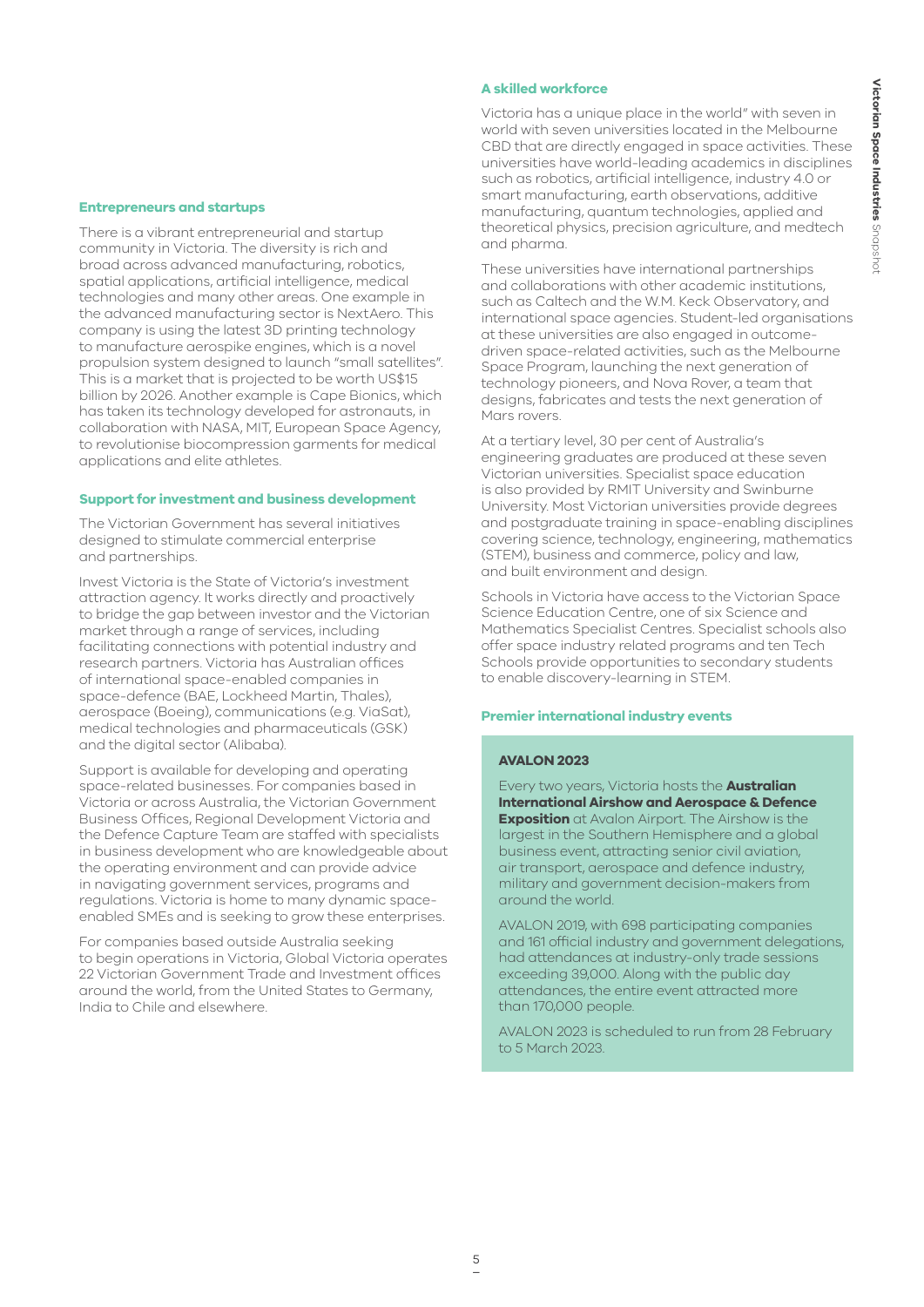#### **Entrepreneurs and startups**

There is a vibrant entrepreneurial and startup community in Victoria. The diversity is rich and broad across advanced manufacturing, robotics, spatial applications, artificial intelligence, medical technologies and many other areas. One example in the advanced manufacturing sector is NextAero. This company is using the latest 3D printing technology to manufacture aerospike engines, which is a novel propulsion system designed to launch "small satellites". This is a market that is projected to be worth US\$15 billion by 2026. Another example is Cape Bionics, which has taken its technology developed for astronauts, in collaboration with NASA, MIT, European Space Agency, to revolutionise biocompression garments for medical applications and elite athletes.

#### **Support for investment and business development**

The Victorian Government has several initiatives designed to stimulate commercial enterprise and partnerships.

Invest Victoria is the State of Victoria's investment attraction agency. It works directly and proactively to bridge the gap between investor and the Victorian market through a range of services, including facilitating connections with potential industry and research partners. Victoria has Australian offices of international space-enabled companies in space-defence (BAE, Lockheed Martin, Thales), aerospace (Boeing), communications (e.g. ViaSat), medical technologies and pharmaceuticals (GSK) and the digital sector (Alibaba).

Support is available for developing and operating space-related businesses. For companies based in Victoria or across Australia, the Victorian Government Business Offices, Regional Development Victoria and the Defence Capture Team are staffed with specialists in business development who are knowledgeable about the operating environment and can provide advice in navigating government services, programs and regulations. Victoria is home to many dynamic spaceenabled SMEs and is seeking to grow these enterprises.

For companies based outside Australia seeking to begin operations in Victoria, Global Victoria operates 22 Victorian Government Trade and Investment offices around the world, from the United States to Germany, India to Chile and elsewhere.

#### **A skilled workforce**

Victoria has a unique place in the world" with seven in world with seven universities located in the Melbourne CBD that are directly engaged in space activities. These universities have world-leading academics in disciplines such as robotics, artificial intelligence, industry 4.0 or smart manufacturing, earth observations, additive manufacturing, quantum technologies, applied and theoretical physics, precision agriculture, and medtech and pharma.

These universities have international partnerships and collaborations with other academic institutions, such as Caltech and the W.M. Keck Observatory, and international space agencies. Student-led organisations at these universities are also engaged in outcomedriven space-related activities, such as the Melbourne Space Program, launching the next generation of technology pioneers, and Nova Rover, a team that designs, fabricates and tests the next generation of Mars rovers.

At a tertiary level, 30 per cent of Australia's engineering graduates are produced at these seven Victorian universities. Specialist space education is also provided by RMIT University and Swinburne University. Most Victorian universities provide degrees and postgraduate training in space-enabling disciplines covering science, technology, engineering, mathematics (STEM), business and commerce, policy and law, and built environment and design.

Schools in Victoria have access to the Victorian Space Science Education Centre, one of six Science and Mathematics Specialist Centres. Specialist schools also offer space industry related programs and ten Tech Schools provide opportunities to secondary students to enable discovery-learning in STEM.

#### **Premier international industry events**

#### **AVALON 2023**

Every two years, Victoria hosts the **Australian International Airshow and Aerospace & Defence Exposition** at Avalon Airport. The Airshow is the largest in the Southern Hemisphere and a global business event, attracting senior civil aviation, air transport, aerospace and defence industry, military and government decision-makers from around the world.

AVALON 2019, with 698 participating companies and 161 official industry and government delegations, had attendances at industry-only trade sessions exceeding 39,000. Along with the public day attendances, the entire event attracted more than 170,000 people.

AVALON 2023 is scheduled to run from 28 February to 5 March 2023.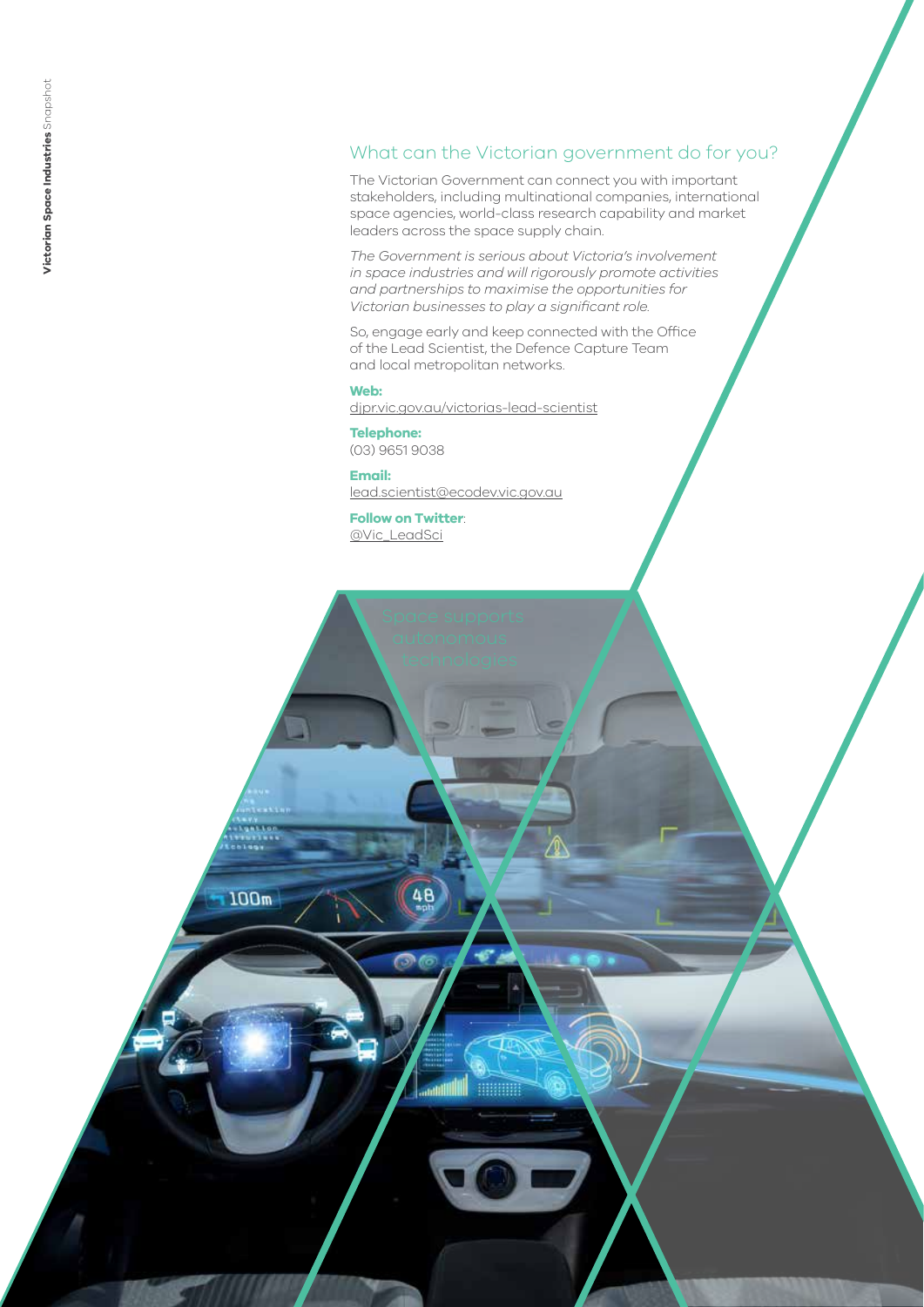# What can the Victorian government do for you?

The Victorian Government can connect you with important stakeholders, including multinational companies, international space agencies, world-class research capability and market leaders across the space supply chain.

*The Government is serious about Victoria's involvement in space industries and will rigorously promote activities and partnerships to maximise the opportunities for Victorian businesses to play a significant role.* 

So, engage early and keep connected with the Office of the Lead Scientist, the Defence Capture Team and local metropolitan networks.

**Web:** [djpr.vic.gov.au/victorias-lead-scientist](https://djpr.vic.gov.au/victorias-lead-scientist)

**Telephone:** (03) 9651 9038

**Email:**  [lead.scientist@ecodev.vic.gov.au](mailto:lead.scientist@ecodev.vic.gov.au)

**Follow on Twitter**: [@Vic\\_LeadSci](https://twitter.com/Vic_LeadSci?ref_src=twsrc%5Egoogle%7Ctwcamp%5Eserp%7Ctwgr%5Eauthor)

48

nini

**MINIMUM** 

100m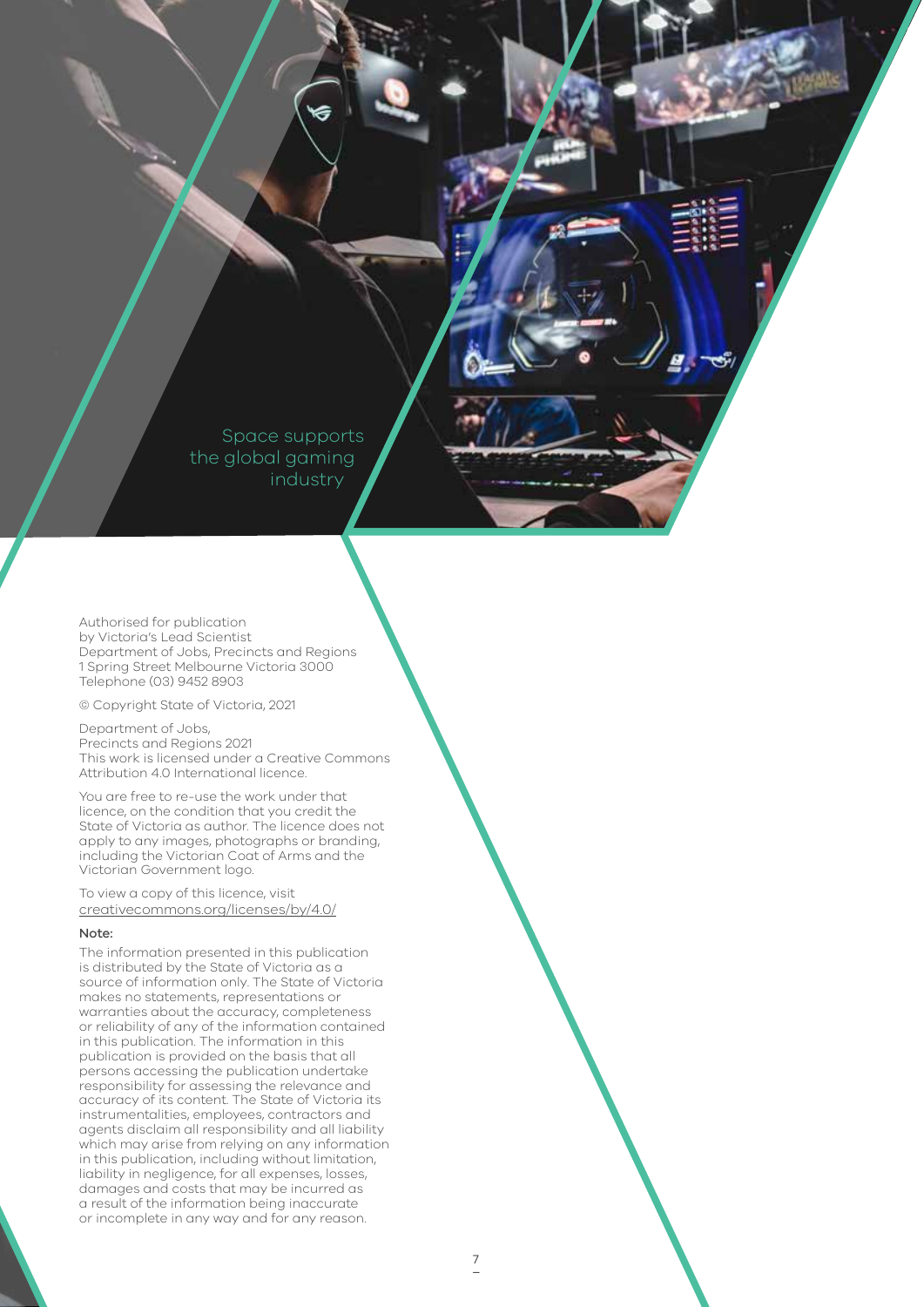Space supports the global gaming industry

Authorised for publication by Victoria's Lead Scientist Department of Jobs, Precincts and Regions 1 Spring Street Melbourne Victoria 3000 Telephone (03) 9452 8903

© Copyright State of Victoria, 2021

#### Department of Jobs,

Precincts and Regions 2021 This work is licensed under a Creative Commons Attribution 4.0 International licence.

You are free to re-use the work under that licence, on the condition that you credit the State of Victoria as author. The licence does not apply to any images, photographs or branding, including the Victorian Coat of Arms and the Victorian Government logo.

To view a copy of this licence, visit [creativecommons.org/licenses/by/4.0/](https://creativecommons.org/licenses/by/4.0/)

#### Note:

The information presented in this publication is distributed by the State of Victoria as a source of information only. The State of Victoria makes no statements, representations or warranties about the accuracy, completeness or reliability of any of the information contained in this publication. The information in this publication is provided on the basis that all persons accessing the publication undertake responsibility for assessing the relevance and accuracy of its content. The State of Victoria its instrumentalities, employees, contractors and agents disclaim all responsibility and all liability which may arise from relying on any information in this publication, including without limitation, liability in negligence, for all expenses, losses, damages and costs that may be incurred as a result of the information being inaccurate or incomplete in any way and for any reason.

ಕ್,